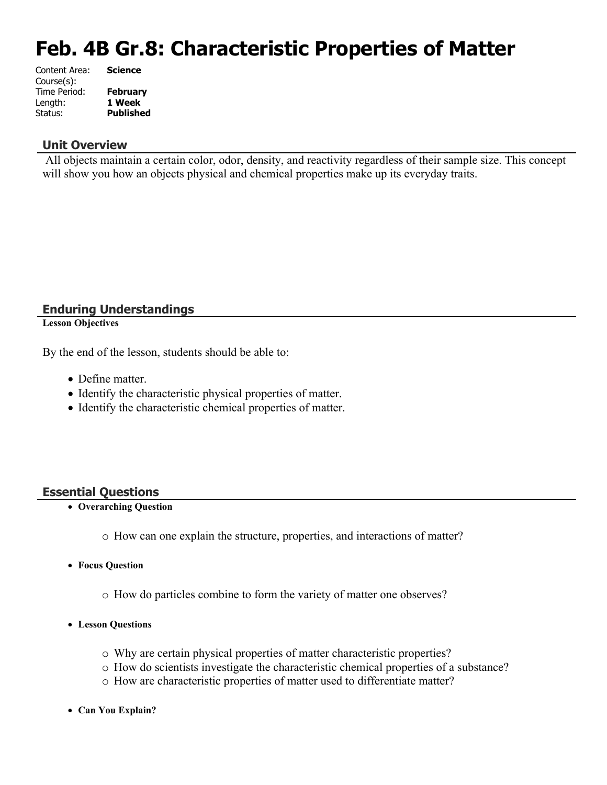# **Feb. 4B Gr.8: Characteristic Properties of Matter**

| Content Area: | <b>Science</b>   |
|---------------|------------------|
| Course(s):    |                  |
| Time Period:  | <b>February</b>  |
| Length:       | 1 Week           |
| Status:       | <b>Published</b> |

#### **Unit Overview**

 All objects maintain a certain color, odor, density, and reactivity regardless of their sample size. This concept will show you how an objects physical and chemical properties make up its everyday traits.

#### **Enduring Understandings**

**Lesson Objectives**

By the end of the lesson, students should be able to:

- Define matter.
- Identify the characteristic physical properties of matter.
- Identify the characteristic chemical properties of matter.

#### **Essential Questions**

- **Overarching Question**
	- o How can one explain the structure, properties, and interactions of matter?
- **Focus Question**
	- o How do particles combine to form the variety of matter one observes?
- **Lesson Questions**
	- o Why are certain physical properties of matter characteristic properties?
	- o How do scientists investigate the characteristic chemical properties of a substance?
	- o How are characteristic properties of matter used to differentiate matter?
- **Can You Explain?**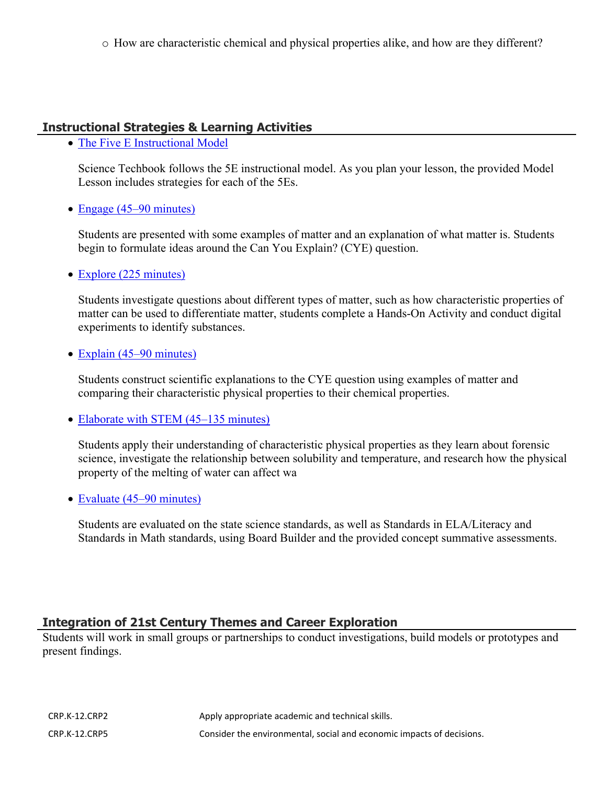o How are characteristic chemical and physical properties alike, and how are they different?

#### **Instructional Strategies & Learning Activities**

• [The Five E Instructional Model](https://app.discoveryeducation.com/learn/techbook/units/389ed5b9-f41a-40ff-9cbf-582ed6ae1bf1/concepts/0adcd0ba-1f2c-4237-a5f7-91d9dc297d4b/lesson/sections/4a4d3574-1d88-4665-bbc4-bd4bf11246f8#f382975e-07fa-4e09-9e33-2294cbc6b698)

Science Techbook follows the 5E instructional model. As you plan your lesson, the provided Model Lesson includes strategies for each of the 5Es.

• [Engage \(45–90 minutes\)](https://app.discoveryeducation.com/learn/techbook/units/389ed5b9-f41a-40ff-9cbf-582ed6ae1bf1/concepts/0adcd0ba-1f2c-4237-a5f7-91d9dc297d4b/lesson/sections/4a4d3574-1d88-4665-bbc4-bd4bf11246f8#41486af6-ee41-4108-abdd-c257abe4868e)

Students are presented with some examples of matter and an explanation of what matter is. Students begin to formulate ideas around the Can You Explain? (CYE) question.

• [Explore \(225 minutes\)](https://app.discoveryeducation.com/learn/techbook/units/389ed5b9-f41a-40ff-9cbf-582ed6ae1bf1/concepts/0adcd0ba-1f2c-4237-a5f7-91d9dc297d4b/lesson/sections/4a4d3574-1d88-4665-bbc4-bd4bf11246f8#2af3e097-7320-457d-917c-e68ae8e7943b)

Students investigate questions about different types of matter, such as how characteristic properties of matter can be used to differentiate matter, students complete a Hands-On Activity and conduct digital experiments to identify substances.

• [Explain \(45–90 minutes\)](https://app.discoveryeducation.com/learn/techbook/units/389ed5b9-f41a-40ff-9cbf-582ed6ae1bf1/concepts/0adcd0ba-1f2c-4237-a5f7-91d9dc297d4b/lesson/sections/4a4d3574-1d88-4665-bbc4-bd4bf11246f8#0bc2cd87-07bd-4a8a-85a9-7993912b20cb)

Students construct scientific explanations to the CYE question using examples of matter and comparing their characteristic physical properties to their chemical properties.

• [Elaborate with STEM \(45–135 minutes\)](https://app.discoveryeducation.com/learn/techbook/units/389ed5b9-f41a-40ff-9cbf-582ed6ae1bf1/concepts/0adcd0ba-1f2c-4237-a5f7-91d9dc297d4b/lesson/sections/4a4d3574-1d88-4665-bbc4-bd4bf11246f8#a68531bf-a87c-4d5f-ba8c-08ba981b4ef4)

Students apply their understanding of characteristic physical properties as they learn about forensic science, investigate the relationship between solubility and temperature, and research how the physical property of the melting of water can affect wa

• [Evaluate \(45–90 minutes\)](https://app.discoveryeducation.com/learn/techbook/units/389ed5b9-f41a-40ff-9cbf-582ed6ae1bf1/concepts/0adcd0ba-1f2c-4237-a5f7-91d9dc297d4b/lesson/sections/4a4d3574-1d88-4665-bbc4-bd4bf11246f8#646856ad-fa48-47d6-81f7-2c1cc8f5c430)

Students are evaluated on the state science standards, as well as Standards in ELA/Literacy and Standards in Math standards, using Board Builder and the provided concept summative assessments.

#### **Integration of 21st Century Themes and Career Exploration**

Students will work in small groups or partnerships to conduct investigations, build models or prototypes and present findings.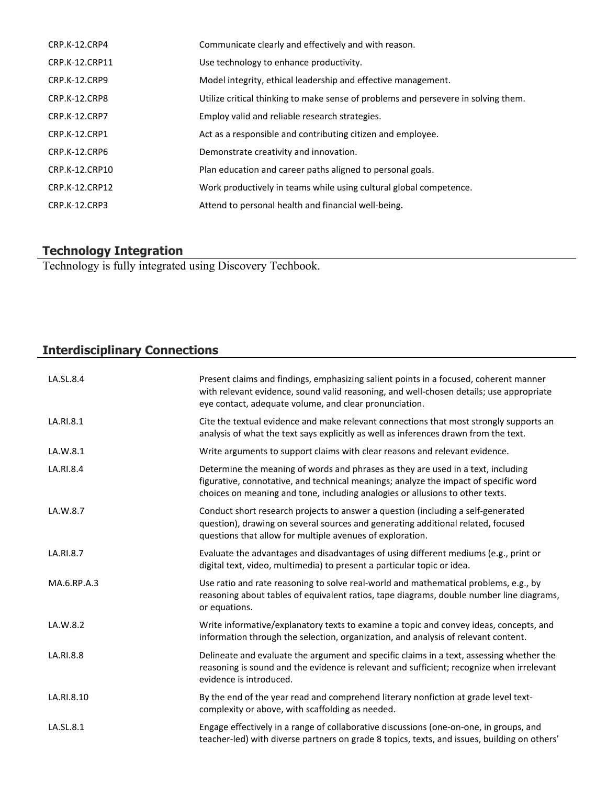| CRP.K-12.CRP4        | Communicate clearly and effectively and with reason.                               |
|----------------------|------------------------------------------------------------------------------------|
| CRP.K-12.CRP11       | Use technology to enhance productivity.                                            |
| CRP.K-12.CRP9        | Model integrity, ethical leadership and effective management.                      |
| CRP.K-12.CRP8        | Utilize critical thinking to make sense of problems and persevere in solving them. |
| <b>CRP.K-12.CRP7</b> | Employ valid and reliable research strategies.                                     |
| CRP.K-12.CRP1        | Act as a responsible and contributing citizen and employee.                        |
| CRP.K-12.CRP6        | Demonstrate creativity and innovation.                                             |
| CRP.K-12.CRP10       | Plan education and career paths aligned to personal goals.                         |
| CRP.K-12.CRP12       | Work productively in teams while using cultural global competence.                 |
| CRP.K-12.CRP3        | Attend to personal health and financial well-being.                                |

#### **Technology Integration**

Technology is fully integrated using Discovery Techbook.

## **Interdisciplinary Connections**

| LA.SL.8.4   | Present claims and findings, emphasizing salient points in a focused, coherent manner<br>with relevant evidence, sound valid reasoning, and well-chosen details; use appropriate<br>eye contact, adequate volume, and clear pronunciation.                |
|-------------|-----------------------------------------------------------------------------------------------------------------------------------------------------------------------------------------------------------------------------------------------------------|
| LA.RI.8.1   | Cite the textual evidence and make relevant connections that most strongly supports an<br>analysis of what the text says explicitly as well as inferences drawn from the text.                                                                            |
| LA.W.8.1    | Write arguments to support claims with clear reasons and relevant evidence.                                                                                                                                                                               |
| LA.RI.8.4   | Determine the meaning of words and phrases as they are used in a text, including<br>figurative, connotative, and technical meanings; analyze the impact of specific word<br>choices on meaning and tone, including analogies or allusions to other texts. |
| LA.W.8.7    | Conduct short research projects to answer a question (including a self-generated<br>question), drawing on several sources and generating additional related, focused<br>questions that allow for multiple avenues of exploration.                         |
| LA.RI.8.7   | Evaluate the advantages and disadvantages of using different mediums (e.g., print or<br>digital text, video, multimedia) to present a particular topic or idea.                                                                                           |
| MA.6.RP.A.3 | Use ratio and rate reasoning to solve real-world and mathematical problems, e.g., by<br>reasoning about tables of equivalent ratios, tape diagrams, double number line diagrams,<br>or equations.                                                         |
| LA.W.8.2    | Write informative/explanatory texts to examine a topic and convey ideas, concepts, and<br>information through the selection, organization, and analysis of relevant content.                                                                              |
| LA.RI.8.8   | Delineate and evaluate the argument and specific claims in a text, assessing whether the<br>reasoning is sound and the evidence is relevant and sufficient; recognize when irrelevant<br>evidence is introduced.                                          |
| LA.RI.8.10  | By the end of the year read and comprehend literary nonfiction at grade level text-<br>complexity or above, with scaffolding as needed.                                                                                                                   |
| LA.SL.8.1   | Engage effectively in a range of collaborative discussions (one-on-one, in groups, and<br>teacher-led) with diverse partners on grade 8 topics, texts, and issues, building on others'                                                                    |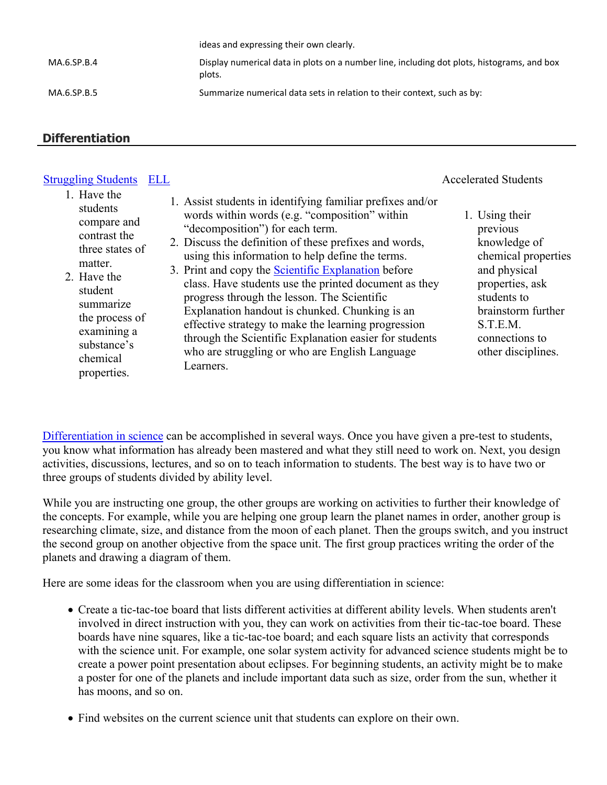|             | ideas and expressing their own clearly.                                                              |
|-------------|------------------------------------------------------------------------------------------------------|
| MA.6.SP.B.4 | Display numerical data in plots on a number line, including dot plots, histograms, and box<br>plots. |
| MA.6.SP.B.5 | Summarize numerical data sets in relation to their context, such as by:                              |

#### **Differentiation**

#### [Struggling Students](https://app.discoveryeducation.com/player/view/assetGuid/4995767F-D634-40C6-B25B-BDEA06E14F90) [ELL](https://app.discoveryeducation.com/player/view/assetGuid/D727DF69-B79B-4A92-AA1F-CE23C74D98D9) **Accelerated Students**

#### 1. Have the students compare and contrast the three states of matter. 2. Have the student summarize the process of examining a substance's chemical properties. 1. Assist students in identifying familiar prefixes and/or words within words (e.g. "composition" within "decomposition") for each term. 2. Discuss the definition of these prefixes and words, using this information to help define the terms. 3. Print and copy the [Scientific Explanation](http://app.discoveryeducation.com/player/view/assetGuid/846BE31F-B3D8-478B-9AE0-32C2297CE5DC) before class. Have students use the printed document as they progress through the lesson. The Scientific Explanation handout is chunked. Chunking is an effective strategy to make the learning progression through the Scientific Explanation easier for students who are struggling or who are English Language Learners. 1. Using their previous knowledge of chemical properties and physical properties, ask students to brainstorm further STEM. connections to other disciplines.

[Differentiation in science](http://www.brighthubeducation.com/teaching-gifted-students/65181-differentiation-techniques-and-activities-in-the-classroom-for-gifted-students/) can be accomplished in several ways. Once you have given a pre-test to students, you know what information has already been mastered and what they still need to work on. Next, you design activities, discussions, lectures, and so on to teach information to students. The best way is to have two or three groups of students divided by ability level.

While you are instructing one group, the other groups are working on activities to further their knowledge of the concepts. For example, while you are helping one group learn the planet names in order, another group is researching climate, size, and distance from the moon of each planet. Then the groups switch, and you instruct the second group on another objective from the space unit. The first group practices writing the order of the planets and drawing a diagram of them.

Here are some ideas for the classroom when you are using differentiation in science:

- Create a tic-tac-toe board that lists different activities at different ability levels. When students aren't involved in direct instruction with you, they can work on activities from their tic-tac-toe board. These boards have nine squares, like a tic-tac-toe board; and each square lists an activity that corresponds with the science unit. For example, one solar system activity for advanced science students might be to create a power point presentation about eclipses. For beginning students, an activity might be to make a poster for one of the planets and include important data such as size, order from the sun, whether it has moons, and so on.
- Find websites on the current science unit that students can explore on their own.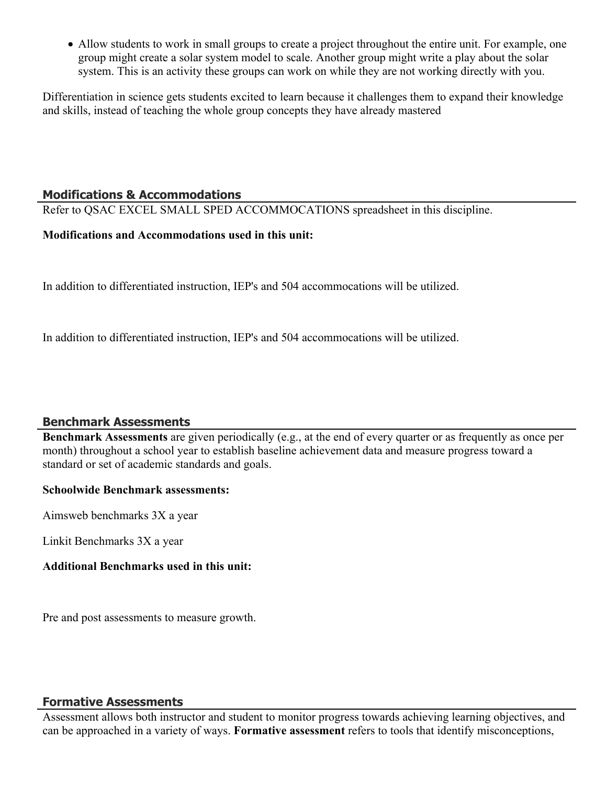Allow students to work in small groups to create a project throughout the entire unit. For example, one group might create a solar system model to scale. Another group might write a play about the solar system. This is an activity these groups can work on while they are not working directly with you.

Differentiation in science gets students excited to learn because it challenges them to expand their knowledge and skills, instead of teaching the whole group concepts they have already mastered

#### **Modifications & Accommodations**

Refer to QSAC EXCEL SMALL SPED ACCOMMOCATIONS spreadsheet in this discipline.

#### **Modifications and Accommodations used in this unit:**

In addition to differentiated instruction, IEP's and 504 accommocations will be utilized.

In addition to differentiated instruction, IEP's and 504 accommocations will be utilized.

#### **Benchmark Assessments**

**Benchmark Assessments** are given periodically (e.g., at the end of every quarter or as frequently as once per month) throughout a school year to establish baseline achievement data and measure progress toward a standard or set of academic standards and goals.

#### **Schoolwide Benchmark assessments:**

Aimsweb benchmarks 3X a year

Linkit Benchmarks 3X a year

#### **Additional Benchmarks used in this unit:**

Pre and post assessments to measure growth.

#### **Formative Assessments**

Assessment allows both instructor and student to monitor progress towards achieving learning objectives, and can be approached in a variety of ways. **Formative assessment** refers to tools that identify misconceptions,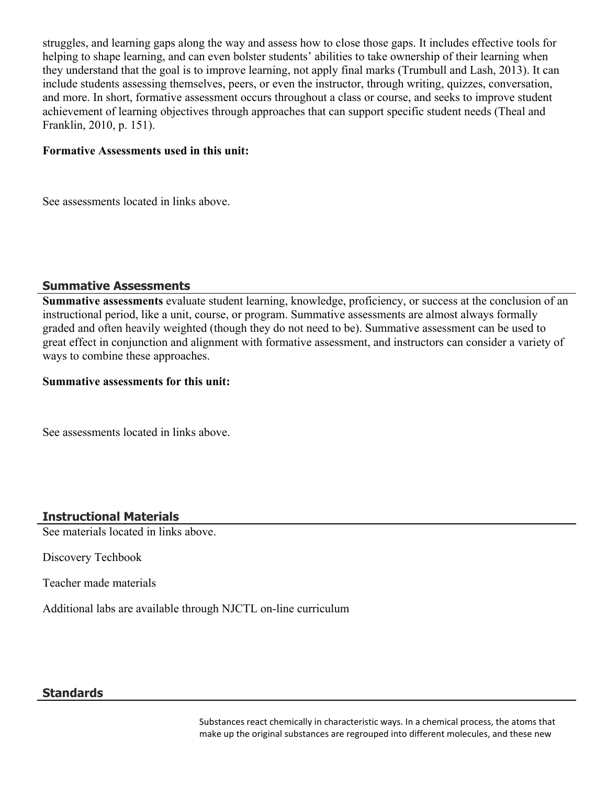struggles, and learning gaps along the way and assess how to close those gaps. It includes effective tools for helping to shape learning, and can even bolster students' abilities to take ownership of their learning when they understand that the goal is to improve learning, not apply final marks (Trumbull and Lash, 2013). It can include students assessing themselves, peers, or even the instructor, through writing, quizzes, conversation, and more. In short, formative assessment occurs throughout a class or course, and seeks to improve student achievement of learning objectives through approaches that can support specific student needs (Theal and Franklin, 2010, p. 151).

#### **Formative Assessments used in this unit:**

See assessments located in links above.

#### **Summative Assessments**

**Summative assessments** evaluate student learning, knowledge, proficiency, or success at the conclusion of an instructional period, like a unit, course, or program. Summative assessments are almost always formally graded and often heavily weighted (though they do not need to be). Summative assessment can be used to great effect in conjunction and alignment with formative assessment, and instructors can consider a variety of ways to combine these approaches.

#### **Summative assessments for this unit:**

See assessments located in links above.

### **Instructional Materials**

See materials located in links above.

Discovery Techbook

Teacher made materials

Additional labs are available through NJCTL on-line curriculum

#### **Standards**

Substances react chemically in characteristic ways. In a chemical process, the atoms that make up the original substances are regrouped into different molecules, and these new